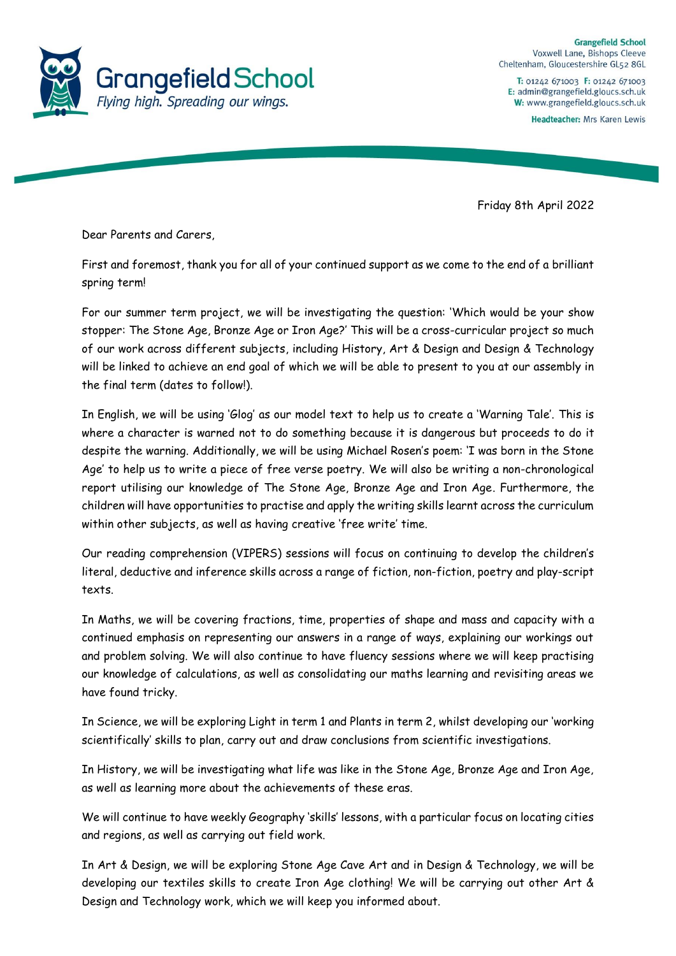

**Grangefield School** Voxwell Lane, Bishops Cleeve Cheltenham, Gloucestershire GL52 8GL

T: 01242 671003 F: 01242 671003 E: admin@grangefield.gloucs.sch.uk W: www.grangefield.gloucs.sch.uk

Headteacher: Mrs Karen Lewis

Friday 8th April 2022

Dear Parents and Carers,

First and foremost, thank you for all of your continued support as we come to the end of a brilliant spring term!

For our summer term project, we will be investigating the question: 'Which would be your show stopper: The Stone Age, Bronze Age or Iron Age?' This will be a cross-curricular project so much of our work across different subjects, including History, Art & Design and Design & Technology will be linked to achieve an end goal of which we will be able to present to you at our assembly in the final term (dates to follow!).

In English, we will be using 'Glog' as our model text to help us to create a 'Warning Tale'. This is where a character is warned not to do something because it is dangerous but proceeds to do it despite the warning. Additionally, we will be using Michael Rosen's poem: 'I was born in the Stone Age' to help us to write a piece of free verse poetry. We will also be writing a non-chronological report utilising our knowledge of The Stone Age, Bronze Age and Iron Age. Furthermore, the children will have opportunities to practise and apply the writing skills learnt across the curriculum within other subjects, as well as having creative 'free write' time.

Our reading comprehension (VIPERS) sessions will focus on continuing to develop the children's literal, deductive and inference skills across a range of fiction, non-fiction, poetry and play-script texts.

In Maths, we will be covering fractions, time, properties of shape and mass and capacity with a continued emphasis on representing our answers in a range of ways, explaining our workings out and problem solving. We will also continue to have fluency sessions where we will keep practising our knowledge of calculations, as well as consolidating our maths learning and revisiting areas we have found tricky.

In Science, we will be exploring Light in term 1 and Plants in term 2, whilst developing our 'working scientifically' skills to plan, carry out and draw conclusions from scientific investigations.

In History, we will be investigating what life was like in the Stone Age, Bronze Age and Iron Age, as well as learning more about the achievements of these eras.

We will continue to have weekly Geography 'skills' lessons, with a particular focus on locating cities and regions, as well as carrying out field work.

In Art & Design, we will be exploring Stone Age Cave Art and in Design & Technology, we will be developing our textiles skills to create Iron Age clothing! We will be carrying out other Art & Design and Technology work, which we will keep you informed about.